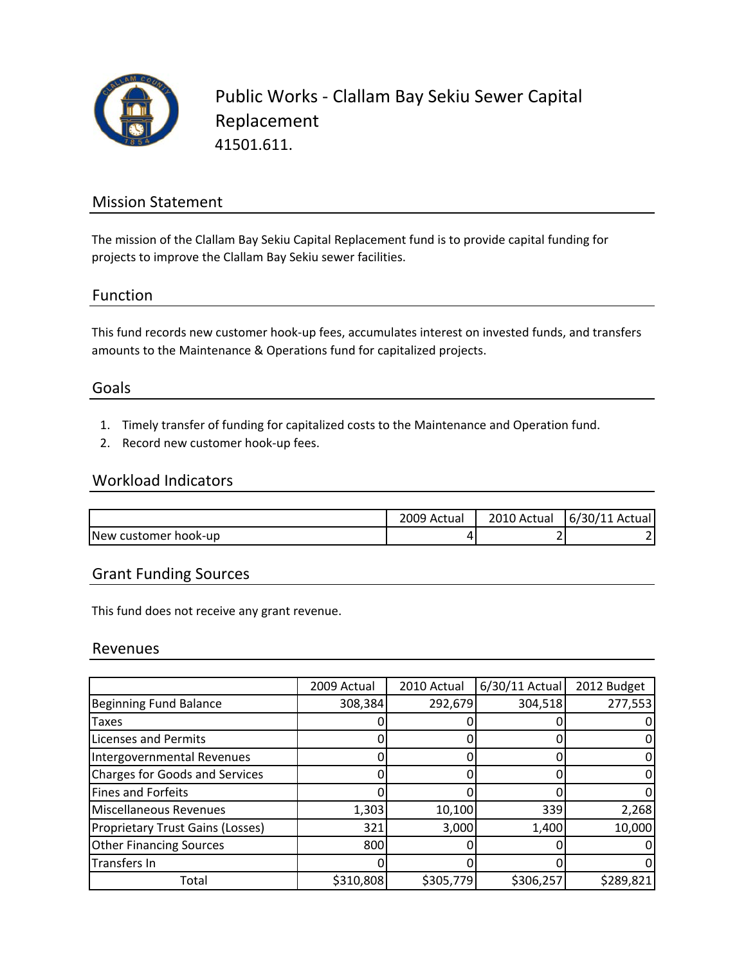

Public Works ‐ Clallam Bay Sekiu Sewer Capital Replacement 41501.611.

## Mission Statement

The mission of the Clallam Bay Sekiu Capital Replacement fund is to provide capital funding for projects to improve the Clallam Bay Sekiu sewer facilities.

## Function

This fund records new customer hook‐up fees, accumulates interest on invested funds, and transfers amounts to the Maintenance & Operations fund for capitalized projects.

### Goals

- 1. Timely transfer of funding for capitalized costs to the Maintenance and Operation fund.
- 2. Record new customer hook‐up fees.

### Workload Indicators

|                      | 2009 Actual | 2010 Actual | 6/30/11 Actual |
|----------------------|-------------|-------------|----------------|
| New customer hook-up | ப           |             |                |

## Grant Funding Sources

This fund does not receive any grant revenue.

### Revenues

|                                         | 2009 Actual | 2010 Actual | $6/30/11$ Actual | 2012 Budget |
|-----------------------------------------|-------------|-------------|------------------|-------------|
| <b>Beginning Fund Balance</b>           | 308,384     | 292,679     | 304,518          | 277,553     |
| <b>Taxes</b>                            |             |             |                  |             |
| <b>Licenses and Permits</b>             |             |             |                  |             |
| Intergovernmental Revenues              |             |             |                  |             |
| <b>Charges for Goods and Services</b>   |             |             |                  |             |
| <b>Fines and Forfeits</b>               |             |             |                  |             |
| Miscellaneous Revenues                  | 1,303       | 10,100      | 339              | 2,268       |
| <b>Proprietary Trust Gains (Losses)</b> | 321         | 3,000       | 1,400            | 10,000      |
| <b>Other Financing Sources</b>          | 800         |             |                  |             |
| Transfers In                            |             |             |                  |             |
| Total                                   | \$310,808   | \$305,779   | \$306,257        | \$289,821   |